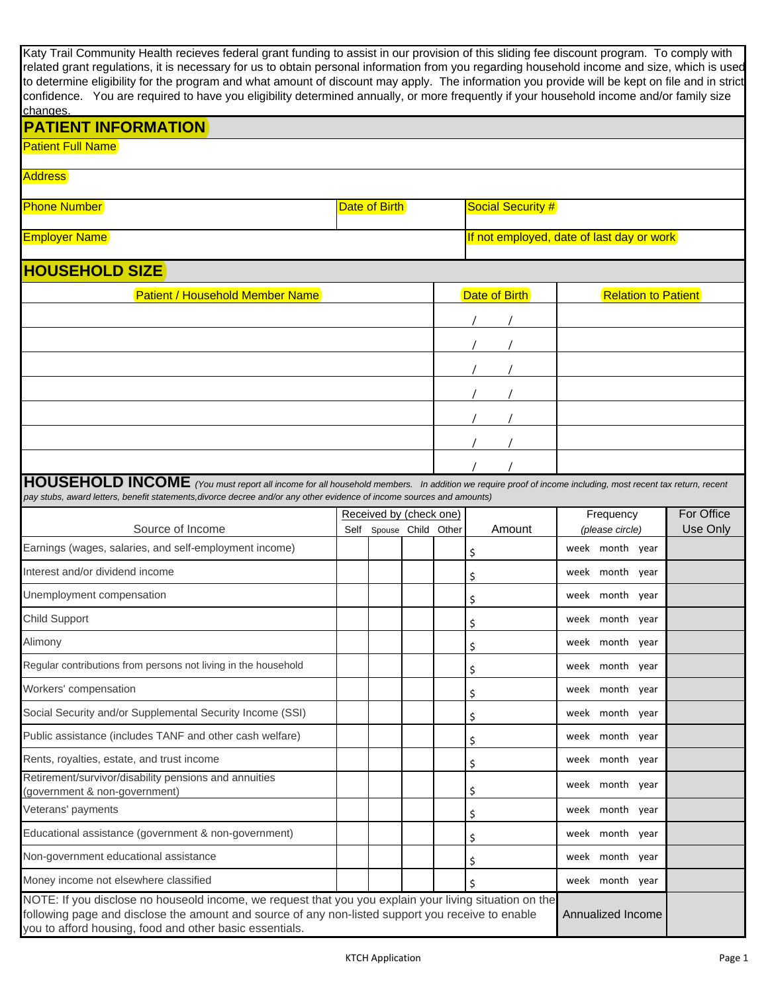| Katy Trail Community Health recieves federal grant funding to assist in our provision of this sliding fee discount program. To comply with<br>related grant regulations, it is necessary for us to obtain personal information from you regarding household income and size, which is used<br>to determine eligibility for the program and what amount of discount may apply. The information you provide will be kept on file and in strict |               |                         |  |  |                          |               |                                           |                            |          |
|----------------------------------------------------------------------------------------------------------------------------------------------------------------------------------------------------------------------------------------------------------------------------------------------------------------------------------------------------------------------------------------------------------------------------------------------|---------------|-------------------------|--|--|--------------------------|---------------|-------------------------------------------|----------------------------|----------|
| confidence. You are required to have you eligibility determined annually, or more frequently if your household income and/or family size<br>changes.                                                                                                                                                                                                                                                                                         |               |                         |  |  |                          |               |                                           |                            |          |
| <b>PATIENT INFORMATION</b>                                                                                                                                                                                                                                                                                                                                                                                                                   |               |                         |  |  |                          |               |                                           |                            |          |
| <b>Patient Full Name</b>                                                                                                                                                                                                                                                                                                                                                                                                                     |               |                         |  |  |                          |               |                                           |                            |          |
| <b>Address</b>                                                                                                                                                                                                                                                                                                                                                                                                                               |               |                         |  |  |                          |               |                                           |                            |          |
| <b>Phone Number</b>                                                                                                                                                                                                                                                                                                                                                                                                                          | Date of Birth |                         |  |  | <b>Social Security #</b> |               |                                           |                            |          |
| <b>Employer Name</b>                                                                                                                                                                                                                                                                                                                                                                                                                         |               |                         |  |  |                          |               | If not employed, date of last day or work |                            |          |
| <b>HOUSEHOLD SIZE</b>                                                                                                                                                                                                                                                                                                                                                                                                                        |               |                         |  |  |                          |               |                                           |                            |          |
| <b>Patient / Household Member Name</b>                                                                                                                                                                                                                                                                                                                                                                                                       |               |                         |  |  |                          | Date of Birth |                                           | <b>Relation to Patient</b> |          |
|                                                                                                                                                                                                                                                                                                                                                                                                                                              |               |                         |  |  |                          |               |                                           |                            |          |
|                                                                                                                                                                                                                                                                                                                                                                                                                                              |               |                         |  |  |                          |               |                                           |                            |          |
|                                                                                                                                                                                                                                                                                                                                                                                                                                              |               |                         |  |  |                          |               |                                           |                            |          |
|                                                                                                                                                                                                                                                                                                                                                                                                                                              |               |                         |  |  |                          |               |                                           |                            |          |
|                                                                                                                                                                                                                                                                                                                                                                                                                                              |               |                         |  |  |                          |               |                                           |                            |          |
|                                                                                                                                                                                                                                                                                                                                                                                                                                              |               |                         |  |  |                          |               |                                           |                            |          |
|                                                                                                                                                                                                                                                                                                                                                                                                                                              |               |                         |  |  |                          |               |                                           |                            |          |
|                                                                                                                                                                                                                                                                                                                                                                                                                                              |               |                         |  |  |                          |               |                                           |                            |          |
| HOUSEHOLD INCOME (You must report all income for all household members. In addition we require proof of income including, most recent tax return, recent<br>pay stubs, award letters, benefit statements, divorce decree and/or any other evidence of income sources and amounts)                                                                                                                                                            |               |                         |  |  |                          |               |                                           |                            |          |
|                                                                                                                                                                                                                                                                                                                                                                                                                                              |               | Received by (check one) |  |  | For Office<br>Frequency  |               |                                           |                            |          |
| Source of Income                                                                                                                                                                                                                                                                                                                                                                                                                             |               | Self Spouse Child Other |  |  |                          | Amount        | (please circle)                           |                            | Use Only |
| Earnings (wages, salaries, and self-employment income)                                                                                                                                                                                                                                                                                                                                                                                       |               |                         |  |  | \$                       |               | week month year                           |                            |          |
| Interest and/or dividend income                                                                                                                                                                                                                                                                                                                                                                                                              |               |                         |  |  | \$                       |               | week month year                           |                            |          |
| Unemployment compensation                                                                                                                                                                                                                                                                                                                                                                                                                    |               |                         |  |  | \$                       |               | week month year                           |                            |          |
| <b>Child Support</b>                                                                                                                                                                                                                                                                                                                                                                                                                         |               |                         |  |  | \$                       |               | week month year                           |                            |          |
| Alimony                                                                                                                                                                                                                                                                                                                                                                                                                                      |               |                         |  |  | \$                       |               | week month year                           |                            |          |
| Regular contributions from persons not living in the household                                                                                                                                                                                                                                                                                                                                                                               |               |                         |  |  | \$                       |               | week month year                           |                            |          |
| Workers' compensation                                                                                                                                                                                                                                                                                                                                                                                                                        |               |                         |  |  | \$                       |               | week month year                           |                            |          |
| Social Security and/or Supplemental Security Income (SSI)                                                                                                                                                                                                                                                                                                                                                                                    |               |                         |  |  | \$                       |               | week month year                           |                            |          |
| Public assistance (includes TANF and other cash welfare)                                                                                                                                                                                                                                                                                                                                                                                     |               |                         |  |  | \$                       |               | week month year                           |                            |          |
| Rents, royalties, estate, and trust income                                                                                                                                                                                                                                                                                                                                                                                                   |               |                         |  |  | \$                       |               | week month year                           |                            |          |
| Retirement/survivor/disability pensions and annuities                                                                                                                                                                                                                                                                                                                                                                                        |               |                         |  |  |                          |               | week month year                           |                            |          |
| (government & non-government)<br>Veterans' payments                                                                                                                                                                                                                                                                                                                                                                                          |               |                         |  |  | \$                       |               | week month year                           |                            |          |
| Educational assistance (government & non-government)                                                                                                                                                                                                                                                                                                                                                                                         |               |                         |  |  | \$                       |               | week month year                           |                            |          |
| Non-government educational assistance                                                                                                                                                                                                                                                                                                                                                                                                        |               |                         |  |  | \$                       |               | week month year                           |                            |          |
| Money income not elsewhere classified                                                                                                                                                                                                                                                                                                                                                                                                        |               |                         |  |  | \$                       |               | week month year                           |                            |          |
| NOTE: If you disclose no houseold income, we request that you you explain your living situation on the                                                                                                                                                                                                                                                                                                                                       |               |                         |  |  | \$                       |               |                                           |                            |          |
| following page and disclose the amount and source of any non-listed support you receive to enable<br>Annualized Income<br>you to afford housing, food and other basic essentials.                                                                                                                                                                                                                                                            |               |                         |  |  |                          |               |                                           |                            |          |